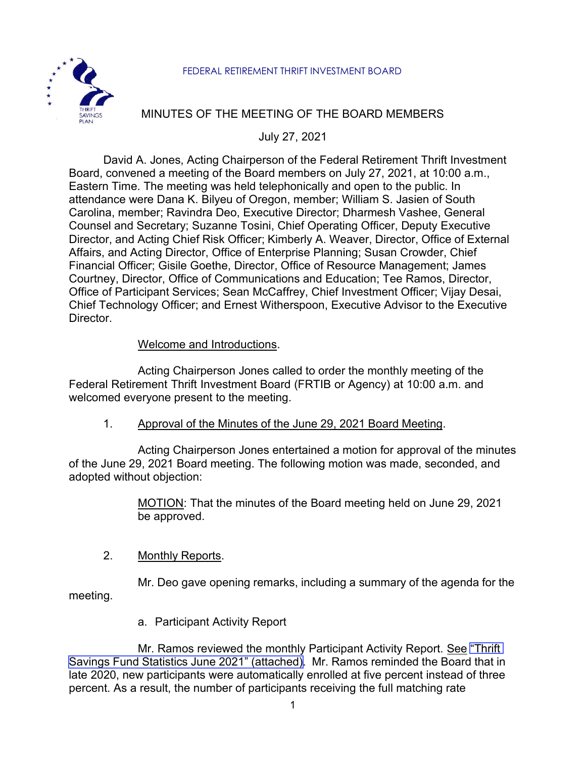#### FEDERAL RETIREMENT THRIFT INVESTMENT BOARD



# MINUTES OF THE MEETING OF THE BOARD MEMBERS

July 27, 2021

David A. Jones, Acting Chairperson of the Federal Retirement Thrift Investment Board, convened a meeting of the Board members on July 27, 2021, at 10:00 a.m., Eastern Time. The meeting was held telephonically and open to the public. In attendance were Dana K. Bilyeu of Oregon, member; William S. Jasien of South Carolina, member; Ravindra Deo, Executive Director; Dharmesh Vashee, General Counsel and Secretary; Suzanne Tosini, Chief Operating Officer, Deputy Executive Director, and Acting Chief Risk Officer; Kimberly A. Weaver, Director, Office of External Affairs, and Acting Director, Office of Enterprise Planning; Susan Crowder, Chief Financial Officer; Gisile Goethe, Director, Office of Resource Management; James Courtney, Director, Office of Communications and Education; Tee Ramos, Director, Office of Participant Services; Sean McCaffrey, Chief Investment Officer; Vijay Desai, Chief Technology Officer; and Ernest Witherspoon, Executive Advisor to the Executive Director.

## Welcome and Introductions.

Acting Chairperson Jones called to order the monthly meeting of the Federal Retirement Thrift Investment Board (FRTIB or Agency) at 10:00 a.m. and welcomed everyone present to the meeting.

1. Approval of the Minutes of the June 29, 2021 Board Meeting.

Acting Chairperson Jones entertained a motion for approval of the minutes of the June 29, 2021 Board meeting. The following motion was made, seconded, and adopted without objection:

> MOTION: That the minutes of the Board meeting held on June 29, 2021 be approved.

### 2. Monthly Reports.

Mr. Deo gave opening remarks, including a summary of the agenda for the meeting.

a. Participant Activity Report

Mr. Ramos reviewed the monthly Participant Activity Report. See ["Thrift](https://www.frtib.gov/pdf/minutes/2021/July/MM-2021Jul-Att1.pdf) Savings Fund Statistics June 2021" [\(attached\).](https://www.frtib.gov/pdf/minutes/2021/July/MM-2021Jul-Att1.pdf) Mr. Ramos reminded the Board that in late 2020, new participants were automatically enrolled at five percent instead of three percent. As a result, the number of participants receiving the full matching rate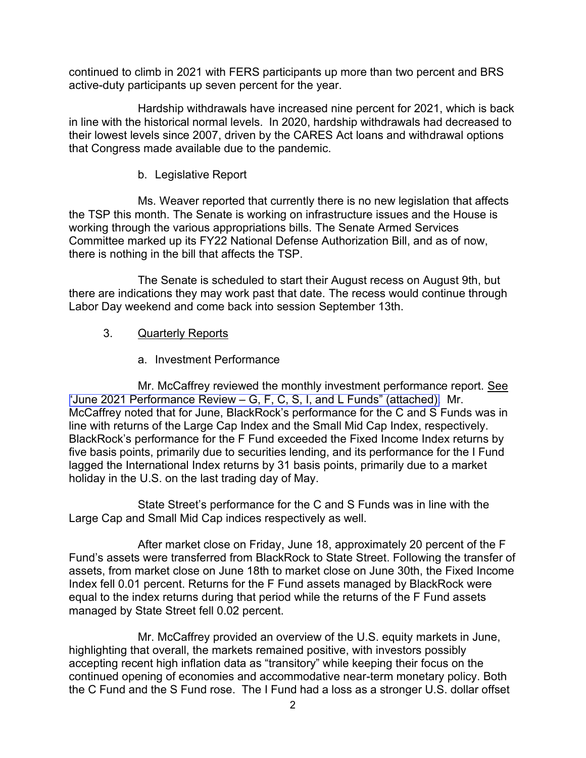continued to climb in 2021 with FERS participants up more than two percent and BRS active-duty participants up seven percent for the year.

Hardship withdrawals have increased nine percent for 2021, which is back in line with the historical normal levels. In 2020, hardship withdrawals had decreased to their lowest levels since 2007, driven by the CARES Act loans and withdrawal options that Congress made available due to the pandemic.

### b. Legislative Report

Ms. Weaver reported that currently there is no new legislation that affects the TSP this month. The Senate is working on infrastructure issues and the House is working through the various appropriations bills. The Senate Armed Services Committee marked up its FY22 National Defense Authorization Bill, and as of now, there is nothing in the bill that affects the TSP.

The Senate is scheduled to start their August recess on August 9th, but there are indications they may work past that date. The recess would continue through Labor Day weekend and come back into session September 13th.

## 3. Quarterly Reports

# a. Investment Performance

Mr. McCaffrey reviewed the monthly investment performance report. See "June 2021 [Performance](https://www.frtib.gov/pdf/minutes/2021/July/MM-2021Jul-Att2.pdf) Review – G, F, C, S, I, and L Funds" (attached). Mr. McCaffrey noted that for June, BlackRock's performance for the C and S Funds was in line with returns of the Large Cap Index and the Small Mid Cap Index, respectively. BlackRock's performance for the F Fund exceeded the Fixed Income Index returns by five basis points, primarily due to securities lending, and its performance for the I Fund lagged the International Index returns by 31 basis points, primarily due to a market holiday in the U.S. on the last trading day of May.

State Street's performance for the C and S Funds was in line with the Large Cap and Small Mid Cap indices respectively as well.

After market close on Friday, June 18, approximately 20 percent of the F Fund's assets were transferred from BlackRock to State Street. Following the transfer of assets, from market close on June 18th to market close on June 30th, the Fixed Income Index fell 0.01 percent. Returns for the F Fund assets managed by BlackRock were equal to the index returns during that period while the returns of the F Fund assets managed by State Street fell 0.02 percent.

Mr. McCaffrey provided an overview of the U.S. equity markets in June, highlighting that overall, the markets remained positive, with investors possibly accepting recent high inflation data as "transitory" while keeping their focus on the continued opening of economies and accommodative near-term monetary policy. Both the C Fund and the S Fund rose. The I Fund had a loss as a stronger U.S. dollar offset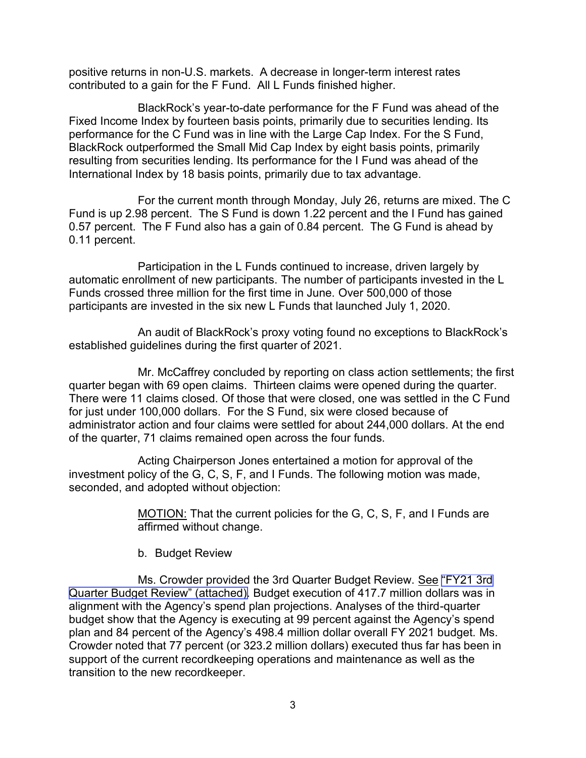positive returns in non-U.S. markets. A decrease in longer-term interest rates contributed to a gain for the F Fund. All L Funds finished higher.

BlackRock's year-to-date performance for the F Fund was ahead of the Fixed Income Index by fourteen basis points, primarily due to securities lending. Its performance for the C Fund was in line with the Large Cap Index. For the S Fund, BlackRock outperformed the Small Mid Cap Index by eight basis points, primarily resulting from securities lending. Its performance for the I Fund was ahead of the International Index by 18 basis points, primarily due to tax advantage.

For the current month through Monday, July 26, returns are mixed. The C Fund is up 2.98 percent. The S Fund is down 1.22 percent and the I Fund has gained 0.57 percent. The F Fund also has a gain of 0.84 percent. The G Fund is ahead by 0.11 percent.

Participation in the L Funds continued to increase, driven largely by automatic enrollment of new participants. The number of participants invested in the L Funds crossed three million for the first time in June. Over 500,000 of those participants are invested in the six new L Funds that launched July 1, 2020.

An audit of BlackRock's proxy voting found no exceptions to BlackRock's established guidelines during the first quarter of 2021.

Mr. McCaffrey concluded by reporting on class action settlements; the first quarter began with 69 open claims. Thirteen claims were opened during the quarter. There were 11 claims closed. Of those that were closed, one was settled in the C Fund for just under 100,000 dollars. For the S Fund, six were closed because of administrator action and four claims were settled for about 244,000 dollars. At the end of the quarter, 71 claims remained open across the four funds.

Acting Chairperson Jones entertained a motion for approval of the investment policy of the G, C, S, F, and I Funds. The following motion was made, seconded, and adopted without objection:

> MOTION: That the current policies for the G, C, S, F, and I Funds are affirmed without change.

b. Budget Review

Ms. Crowder provided the 3rd Quarter Budget Review. See ["FY21 3rd](https://www.frtib.gov/pdf/minutes/2021/July/MM-2021Jul-Att3.pdf) [Quarter Budget Review" \(attached\).](https://www.frtib.gov/pdf/minutes/2021/July/MM-2021Jul-Att3.pdf) Budget execution of 417.7 million dollars was in alignment with the Agency's spend plan projections. Analyses of the third-quarter budget show that the Agency is executing at 99 percent against the Agency's spend plan and 84 percent of the Agency's 498.4 million dollar overall FY 2021 budget. Ms. Crowder noted that 77 percent (or 323.2 million dollars) executed thus far has been in support of the current recordkeeping operations and maintenance as well as the transition to the new recordkeeper.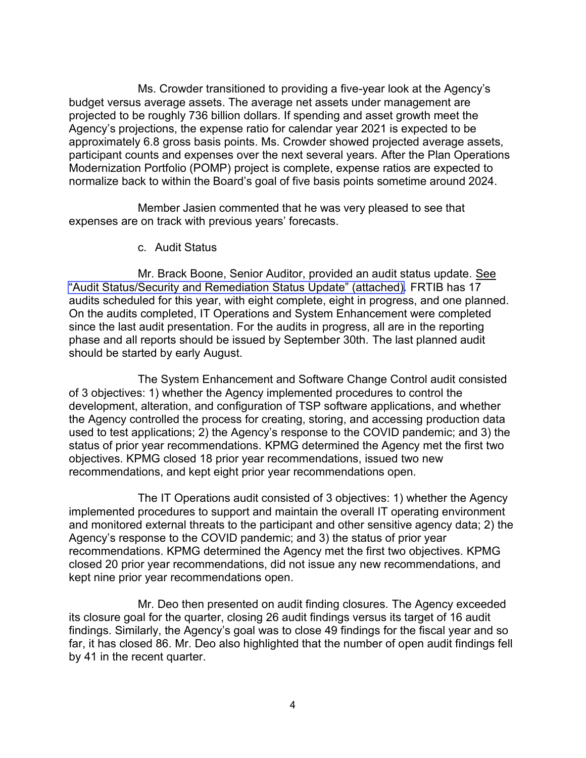Ms. Crowder transitioned to providing a five-year look at the Agency's budget versus average assets. The average net assets under management are projected to be roughly 736 billion dollars. If spending and asset growth meet the Agency's projections, the expense ratio for calendar year 2021 is expected to be approximately 6.8 gross basis points. Ms. Crowder showed projected average assets, participant counts and expenses over the next several years. After the Plan Operations Modernization Portfolio (POMP) project is complete, expense ratios are expected to normalize back to within the Board's goal of five basis points sometime around 2024.

Member Jasien commented that he was very pleased to see that expenses are on track with previous years' forecasts.

c. Audit Status

Mr. Brack Boone, Senior Auditor, provided an audit status update. See ["Audit Status/Security and Remediation Status Update" \(attached\).](https://www.frtib.gov/pdf/minutes/2021/July/MM-2021Jul-Att4a.pdf) FRTIB has 17 audits scheduled for this year, with eight complete, eight in progress, and one planned. On the audits completed, IT Operations and System Enhancement were completed since the last audit presentation. For the audits in progress, all are in the reporting phase and all reports should be issued by September 30th. The last planned audit should be started by early August.

The System Enhancement and Software Change Control audit consisted of 3 objectives: 1) whether the Agency implemented procedures to control the development, alteration, and configuration of TSP software applications, and whether the Agency controlled the process for creating, storing, and accessing production data used to test applications; 2) the Agency's response to the COVID pandemic; and 3) the status of prior year recommendations. KPMG determined the Agency met the first two objectives. KPMG closed 18 prior year recommendations, issued two new recommendations, and kept eight prior year recommendations open.

The IT Operations audit consisted of 3 objectives: 1) whether the Agency implemented procedures to support and maintain the overall IT operating environment and monitored external threats to the participant and other sensitive agency data; 2) the Agency's response to the COVID pandemic; and 3) the status of prior year recommendations. KPMG determined the Agency met the first two objectives. KPMG closed 20 prior year recommendations, did not issue any new recommendations, and kept nine prior year recommendations open.

Mr. Deo then presented on audit finding closures. The Agency exceeded its closure goal for the quarter, closing 26 audit findings versus its target of 16 audit findings. Similarly, the Agency's goal was to close 49 findings for the fiscal year and so far, it has closed 86. Mr. Deo also highlighted that the number of open audit findings fell by 41 in the recent quarter.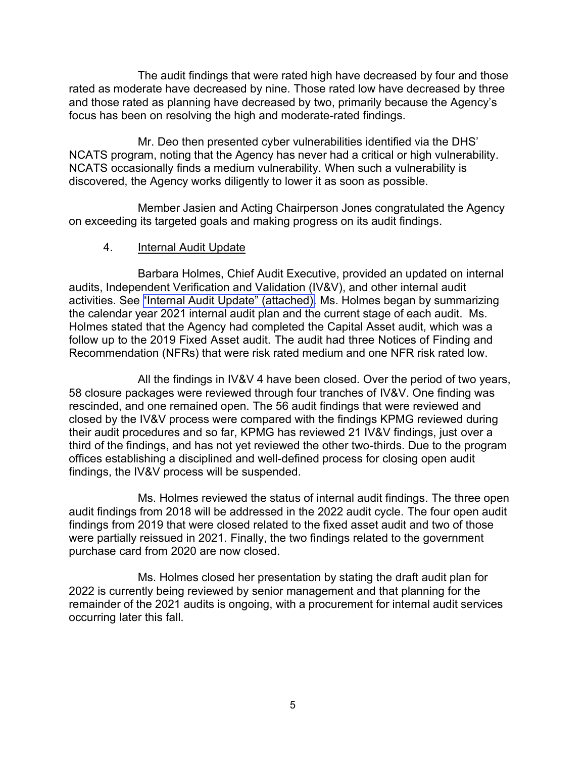The audit findings that were rated high have decreased by four and those rated as moderate have decreased by nine. Those rated low have decreased by three and those rated as planning have decreased by two, primarily because the Agency's focus has been on resolving the high and moderate-rated findings.

Mr. Deo then presented cyber vulnerabilities identified via the DHS' NCATS program, noting that the Agency has never had a critical or high vulnerability. NCATS occasionally finds a medium vulnerability. When such a vulnerability is discovered, the Agency works diligently to lower it as soon as possible.

Member Jasien and Acting Chairperson Jones congratulated the Agency on exceeding its targeted goals and making progress on its audit findings.

### 4. Internal Audit Update

Barbara Holmes, Chief Audit Executive, provided an updated on internal audits, Independent Verification and Validation (IV&V), and other internal audit activities. See ["Internal Audit Update" \(attached\).](https://www.frtib.gov/pdf/minutes/2021/July/MM-2021Jul-Att5.pdf) Ms. Holmes began by summarizing the calendar year 2021 internal audit plan and the current stage of each audit. Ms. Holmes stated that the Agency had completed the Capital Asset audit, which was a follow up to the 2019 Fixed Asset audit. The audit had three Notices of Finding and Recommendation (NFRs) that were risk rated medium and one NFR risk rated low.

All the findings in IV&V 4 have been closed. Over the period of two years, 58 closure packages were reviewed through four tranches of IV&V. One finding was rescinded, and one remained open. The 56 audit findings that were reviewed and closed by the IV&V process were compared with the findings KPMG reviewed during their audit procedures and so far, KPMG has reviewed 21 IV&V findings, just over a third of the findings, and has not yet reviewed the other two-thirds. Due to the program offices establishing a disciplined and well-defined process for closing open audit findings, the IV&V process will be suspended.

Ms. Holmes reviewed the status of internal audit findings. The three open audit findings from 2018 will be addressed in the 2022 audit cycle. The four open audit findings from 2019 that were closed related to the fixed asset audit and two of those were partially reissued in 2021. Finally, the two findings related to the government purchase card from 2020 are now closed.

Ms. Holmes closed her presentation by stating the draft audit plan for 2022 is currently being reviewed by senior management and that planning for the remainder of the 2021 audits is ongoing, with a procurement for internal audit services occurring later this fall.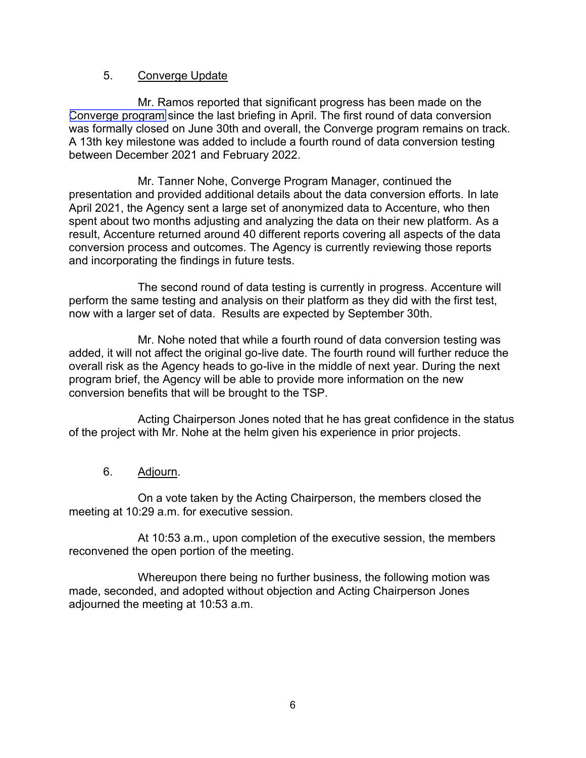## 5. Converge Update

Mr. Ramos reported that significant progress has been made on the [Converge program](https://www.frtib.gov/pdf/minutes/2021/July/MM-2021Jul-Att6.pdf) since the last briefing in April. The first round of data conversion was formally closed on June 30th and overall, the Converge program remains on track. A 13th key milestone was added to include a fourth round of data conversion testing between December 2021 and February 2022.

Mr. Tanner Nohe, Converge Program Manager, continued the presentation and provided additional details about the data conversion efforts. In late April 2021, the Agency sent a large set of anonymized data to Accenture, who then spent about two months adjusting and analyzing the data on their new platform. As a result, Accenture returned around 40 different reports covering all aspects of the data conversion process and outcomes. The Agency is currently reviewing those reports and incorporating the findings in future tests.

The second round of data testing is currently in progress. Accenture will perform the same testing and analysis on their platform as they did with the first test, now with a larger set of data. Results are expected by September 30th.

Mr. Nohe noted that while a fourth round of data conversion testing was added, it will not affect the original go-live date. The fourth round will further reduce the overall risk as the Agency heads to go-live in the middle of next year. During the next program brief, the Agency will be able to provide more information on the new conversion benefits that will be brought to the TSP.

Acting Chairperson Jones noted that he has great confidence in the status of the project with Mr. Nohe at the helm given his experience in prior projects.

6. Adjourn.

On a vote taken by the Acting Chairperson, the members closed the meeting at 10:29 a.m. for executive session.

At 10:53 a.m., upon completion of the executive session, the members reconvened the open portion of the meeting.

Whereupon there being no further business, the following motion was made, seconded, and adopted without objection and Acting Chairperson Jones adjourned the meeting at 10:53 a.m.